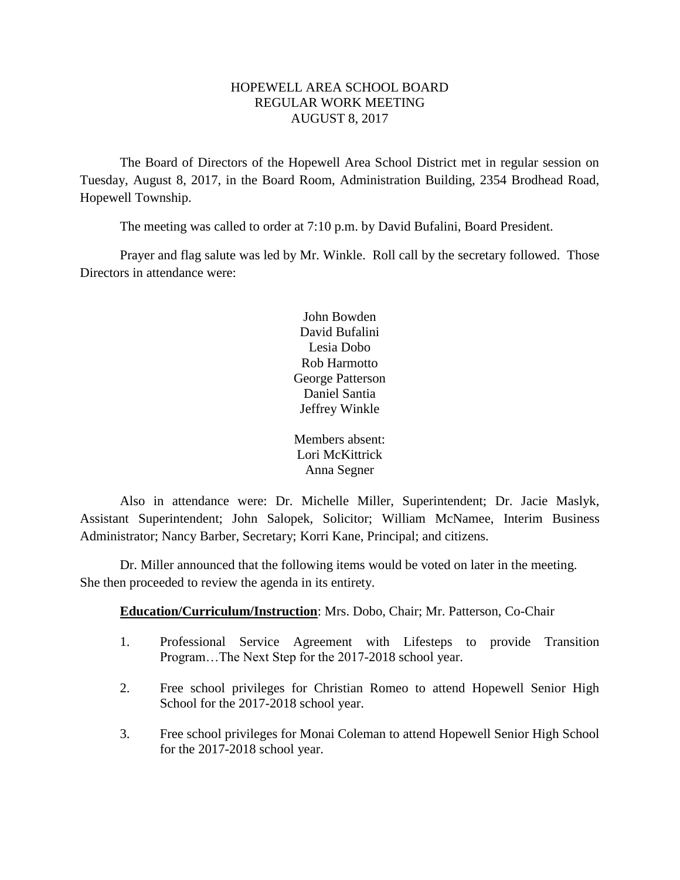## HOPEWELL AREA SCHOOL BOARD REGULAR WORK MEETING AUGUST 8, 2017

The Board of Directors of the Hopewell Area School District met in regular session on Tuesday, August 8, 2017, in the Board Room, Administration Building, 2354 Brodhead Road, Hopewell Township.

The meeting was called to order at 7:10 p.m. by David Bufalini, Board President.

Prayer and flag salute was led by Mr. Winkle. Roll call by the secretary followed. Those Directors in attendance were:

> John Bowden David Bufalini Lesia Dobo Rob Harmotto George Patterson Daniel Santia Jeffrey Winkle

> Members absent: Lori McKittrick Anna Segner

Also in attendance were: Dr. Michelle Miller, Superintendent; Dr. Jacie Maslyk, Assistant Superintendent; John Salopek, Solicitor; William McNamee, Interim Business Administrator; Nancy Barber, Secretary; Korri Kane, Principal; and citizens.

Dr. Miller announced that the following items would be voted on later in the meeting. She then proceeded to review the agenda in its entirety.

# **Education/Curriculum/Instruction**: Mrs. Dobo, Chair; Mr. Patterson, Co-Chair

- 1. Professional Service Agreement with Lifesteps to provide Transition Program…The Next Step for the 2017-2018 school year.
- 2. Free school privileges for Christian Romeo to attend Hopewell Senior High School for the 2017-2018 school year.
- 3. Free school privileges for Monai Coleman to attend Hopewell Senior High School for the 2017-2018 school year.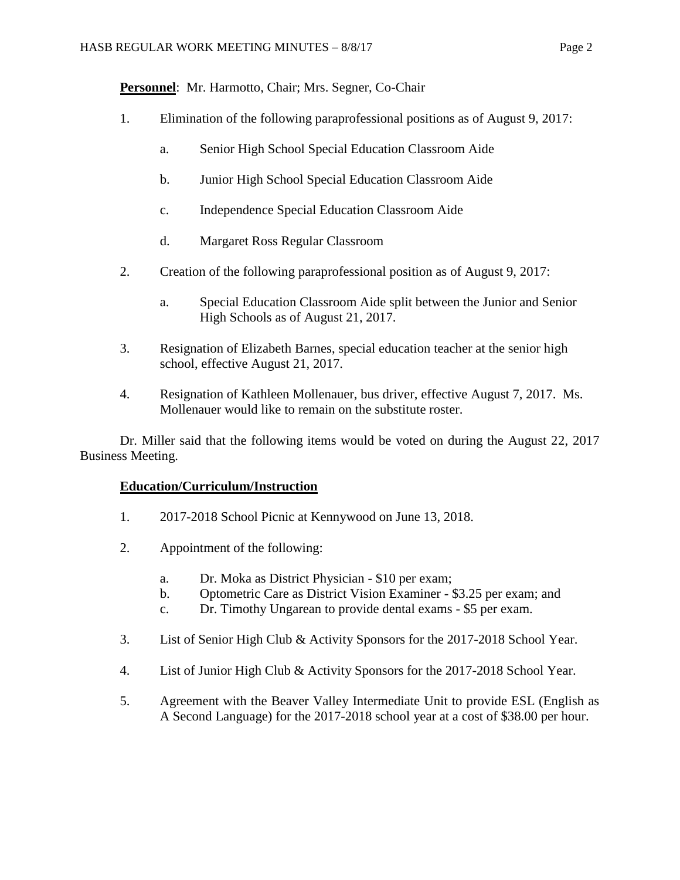**Personnel**: Mr. Harmotto, Chair; Mrs. Segner, Co-Chair

- 1. Elimination of the following paraprofessional positions as of August 9, 2017:
	- a. Senior High School Special Education Classroom Aide
	- b. Junior High School Special Education Classroom Aide
	- c. Independence Special Education Classroom Aide
	- d. Margaret Ross Regular Classroom
- 2. Creation of the following paraprofessional position as of August 9, 2017:
	- a. Special Education Classroom Aide split between the Junior and Senior High Schools as of August 21, 2017.
- 3. Resignation of Elizabeth Barnes, special education teacher at the senior high school, effective August 21, 2017.
- 4. Resignation of Kathleen Mollenauer, bus driver, effective August 7, 2017. Ms. Mollenauer would like to remain on the substitute roster.

Dr. Miller said that the following items would be voted on during the August 22, 2017 Business Meeting.

# **Education/Curriculum/Instruction**

- 1. 2017-2018 School Picnic at Kennywood on June 13, 2018.
- 2. Appointment of the following:
	- a. Dr. Moka as District Physician \$10 per exam;
	- b. Optometric Care as District Vision Examiner \$3.25 per exam; and
	- c. Dr. Timothy Ungarean to provide dental exams \$5 per exam.
- 3. List of Senior High Club & Activity Sponsors for the 2017-2018 School Year.
- 4. List of Junior High Club & Activity Sponsors for the 2017-2018 School Year.
- 5. Agreement with the Beaver Valley Intermediate Unit to provide ESL (English as A Second Language) for the 2017-2018 school year at a cost of \$38.00 per hour.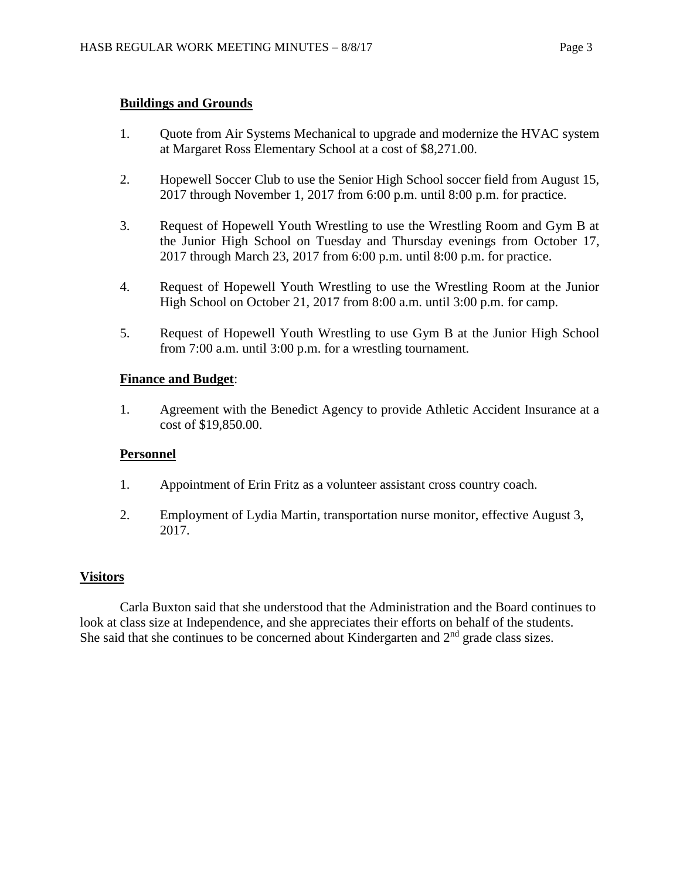## **Buildings and Grounds**

- 1. Quote from Air Systems Mechanical to upgrade and modernize the HVAC system at Margaret Ross Elementary School at a cost of \$8,271.00.
- 2. Hopewell Soccer Club to use the Senior High School soccer field from August 15, 2017 through November 1, 2017 from 6:00 p.m. until 8:00 p.m. for practice.
- 3. Request of Hopewell Youth Wrestling to use the Wrestling Room and Gym B at the Junior High School on Tuesday and Thursday evenings from October 17, 2017 through March 23, 2017 from 6:00 p.m. until 8:00 p.m. for practice.
- 4. Request of Hopewell Youth Wrestling to use the Wrestling Room at the Junior High School on October 21, 2017 from 8:00 a.m. until 3:00 p.m. for camp.
- 5. Request of Hopewell Youth Wrestling to use Gym B at the Junior High School from 7:00 a.m. until 3:00 p.m. for a wrestling tournament.

## **Finance and Budget**:

1. Agreement with the Benedict Agency to provide Athletic Accident Insurance at a cost of \$19,850.00.

## **Personnel**

- 1. Appointment of Erin Fritz as a volunteer assistant cross country coach.
- 2. Employment of Lydia Martin, transportation nurse monitor, effective August 3, 2017.

## **Visitors**

Carla Buxton said that she understood that the Administration and the Board continues to look at class size at Independence, and she appreciates their efforts on behalf of the students. She said that she continues to be concerned about Kindergarten and  $2<sup>nd</sup>$  grade class sizes.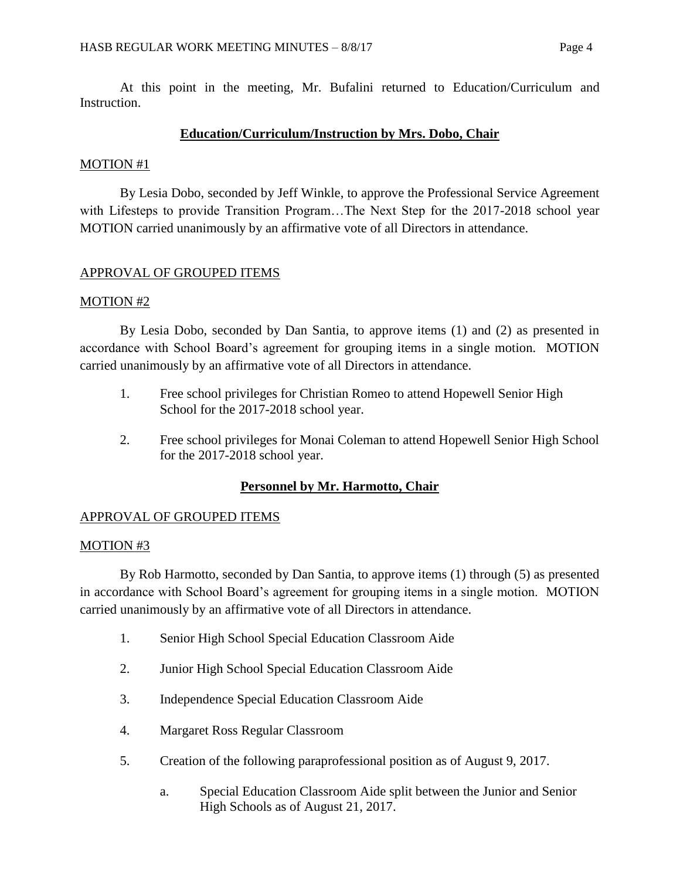At this point in the meeting, Mr. Bufalini returned to Education/Curriculum and Instruction.

## **Education/Curriculum/Instruction by Mrs. Dobo, Chair**

## MOTION #1

By Lesia Dobo, seconded by Jeff Winkle, to approve the Professional Service Agreement with Lifesteps to provide Transition Program...The Next Step for the 2017-2018 school year MOTION carried unanimously by an affirmative vote of all Directors in attendance.

# APPROVAL OF GROUPED ITEMS

## MOTION #2

By Lesia Dobo, seconded by Dan Santia, to approve items (1) and (2) as presented in accordance with School Board's agreement for grouping items in a single motion. MOTION carried unanimously by an affirmative vote of all Directors in attendance.

- 1. Free school privileges for Christian Romeo to attend Hopewell Senior High School for the 2017-2018 school year.
- 2. Free school privileges for Monai Coleman to attend Hopewell Senior High School for the 2017-2018 school year.

# **Personnel by Mr. Harmotto, Chair**

# APPROVAL OF GROUPED ITEMS

## MOTION #3

By Rob Harmotto, seconded by Dan Santia, to approve items (1) through (5) as presented in accordance with School Board's agreement for grouping items in a single motion. MOTION carried unanimously by an affirmative vote of all Directors in attendance.

- 1. Senior High School Special Education Classroom Aide
- 2. Junior High School Special Education Classroom Aide
- 3. Independence Special Education Classroom Aide
- 4. Margaret Ross Regular Classroom
- 5. Creation of the following paraprofessional position as of August 9, 2017.
	- a. Special Education Classroom Aide split between the Junior and Senior High Schools as of August 21, 2017.